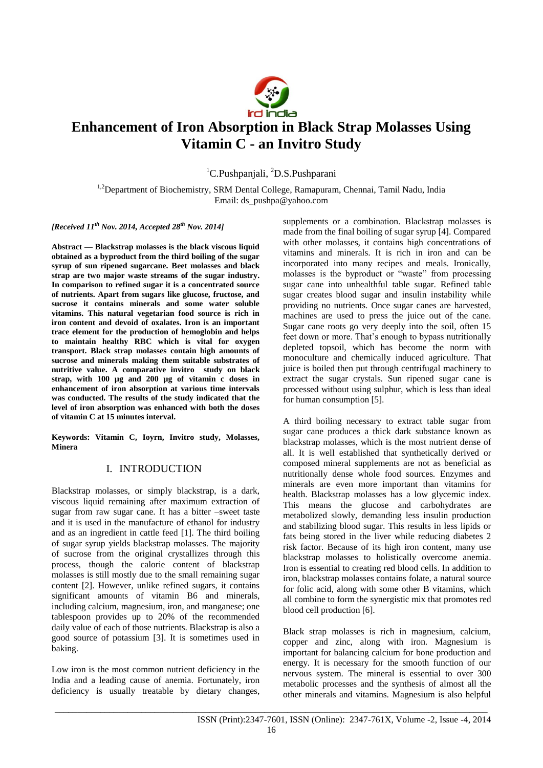

# **Enhancement of Iron Absorption in Black Strap Molasses Using Vitamin C - an Invitro Study**

<sup>1</sup>C.Pushpanjali, <sup>2</sup>D.S.Pushparani

<sup>1,2</sup>Department of Biochemistry, SRM Dental College, Ramapuram, Chennai, Tamil Nadu, India Email: ds\_pushpa@yahoo.com

*[Received 11th Nov. 2014, Accepted 28th Nov. 2014]*

**Abstract — Blackstrap molasses is the black viscous liquid obtained as a byproduct from the third boiling of the sugar syrup of sun ripened sugarcane. Beet molasses and black strap are two major waste streams of the sugar industry. In comparison to refined sugar it is a concentrated source of nutrients. Apart from sugars like glucose, fructose, and sucrose it contains minerals and some water soluble vitamins. This natural vegetarian food source is rich in iron content and devoid of oxalates. Iron is an important trace element for the production of hemoglobin and helps to maintain healthy RBC which is vital for oxygen transport. Black strap molasses contain high amounts of sucrose and minerals making them suitable substrates of nutritive value. A comparative invitro study on black strap, with 100 µg and 200 µg of vitamin c doses in enhancement of iron absorption at various time intervals was conducted. The results of the study indicated that the level of iron absorption was enhanced with both the doses of vitamin C at 15 minutes interval.**

**Keywords: Vitamin C, Ioyrn, Invitro study, Molasses, Minera**

### I. INTRODUCTION

Blackstrap molasses, or simply blackstrap, is a dark, viscous liquid remaining after maximum extraction of sugar from raw sugar cane. It has a bitter –sweet taste and it is used in the manufacture of ethanol for industry and as an ingredient in cattle feed [1]. The third boiling of sugar syrup yields blackstrap molasses. The majority of sucrose from the original crystallizes through this process, though the calorie content of blackstrap molasses is still mostly due to the small remaining sugar content [2]. However, unlike refined sugars, it contains significant amounts of vitamin B6 and minerals, including calcium, magnesium, iron, and manganese; one tablespoon provides up to 20% of the recommended daily value of each of those nutrients. Blackstrap is also a good source of potassium [3]. It is sometimes used in baking.

Low iron is the most common nutrient deficiency in the India and a leading cause of anemia. Fortunately, iron deficiency is usually treatable by dietary changes,

supplements or a combination. Blackstrap molasses is made from the final boiling of sugar syrup [4]. Compared with other molasses, it contains high concentrations of vitamins and minerals. It is rich in iron and can be incorporated into many recipes and meals. Ironically, molasses is the byproduct or "waste" from processing sugar cane into unhealthful table sugar. Refined table sugar creates blood sugar and insulin instability while providing no nutrients. Once sugar canes are harvested, machines are used to press the juice out of the cane. Sugar cane roots go very deeply into the soil, often 15 feet down or more. That's enough to bypass nutritionally depleted topsoil, which has become the norm with monoculture and chemically induced agriculture. That juice is boiled then put through centrifugal machinery to extract the sugar crystals. Sun ripened sugar cane is processed without using sulphur, which is less than ideal for human consumption [5].

A third boiling necessary to extract table sugar from sugar cane produces a thick dark substance known as blackstrap molasses, which is the most nutrient dense of all. It is well established that synthetically derived or composed mineral supplements are not as beneficial as nutritionally dense whole food sources. Enzymes and minerals are even more important than vitamins for health. Blackstrap molasses has a low glycemic index. This means the glucose and carbohydrates are metabolized slowly, demanding less insulin production and stabilizing blood sugar. This results in less lipids or fats being stored in the liver while reducing diabetes 2 risk factor. Because of its high iron content, many use blackstrap molasses to holistically overcome anemia. Iron is essential to creating red blood cells. In addition to iron, blackstrap molasses contains folate, a natural source for folic acid, along with some other B vitamins, which all combine to form the synergistic mix that promotes red blood cell production [6].

Black strap molasses is rich in magnesium, calcium, copper and zinc, along with iron. Magnesium is important for balancing calcium for bone production and energy. It is necessary for the smooth function of our nervous system. The mineral is essential to over 300 metabolic processes and the synthesis of almost all the other minerals and vitamins. Magnesium is also helpful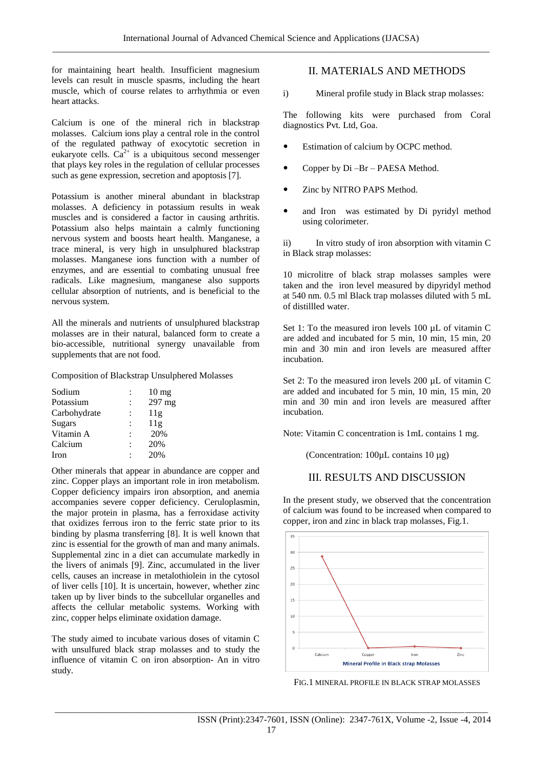for maintaining heart health. Insufficient magnesium levels can result in muscle spasms, including the heart muscle, which of course relates to arrhythmia or even heart attacks.

Calcium is one of the mineral rich in blackstrap molasses. Calcium ions play a central role in the control of the regulated pathway of exocytotic secretion in eukaryote cells.  $Ca^{2+}$  is a ubiquitous second messenger that plays key roles in the regulation of cellular processes such as gene expression, secretion and apoptosis [7].

Potassium is another mineral abundant in blackstrap molasses. A deficiency in potassium results in weak muscles and is considered a factor in causing arthritis. Potassium also helps maintain a calmly functioning nervous system and boosts heart health. Manganese, a trace mineral, is very high in unsulphured blackstrap molasses. Manganese ions function with a number of enzymes, and are essential to combating unusual free radicals. Like magnesium, manganese also supports cellular absorption of nutrients, and is beneficial to the nervous system.

All the minerals and nutrients of unsulphured blackstrap molasses are in their natural, balanced form to create a bio-accessible, nutritional synergy unavailable from supplements that are not food.

#### Composition of Blackstrap Unsulphered Molasses

| Sodium       | ÷              | $10 \text{ mg}$ |
|--------------|----------------|-----------------|
| Potassium    |                | 297 mg          |
| Carbohydrate | $\ddot{\cdot}$ | 11g             |
| Sugars       |                | 11g             |
| Vitamin A    |                | 20%             |
| Calcium      |                | 20%             |
| Iron         |                | 20%             |

Other minerals that appear in abundance are copper and zinc. Copper plays an important role in iron metabolism. Copper deficiency impairs iron absorption, and anemia accompanies severe copper deficiency. Ceruloplasmin, the major protein in plasma, has a ferroxidase activity that oxidizes ferrous iron to the ferric state prior to its binding by plasma transferring [8]. It is well known that zinc is essential for the growth of man and many animals. Supplemental zinc in a diet can accumulate markedly in the livers of animals [9]. Zinc, accumulated in the liver cells, causes an increase in metalothiolein in the cytosol of liver cells [10]. It is uncertain, however, whether zinc taken up by liver binds to the subcellular organelles and affects the cellular metabolic systems. Working with zinc, copper helps eliminate oxidation damage.

The study aimed to incubate various doses of vitamin C with unsulfured black strap molasses and to study the influence of vitamin C on iron absorption- An in vitro study.

## II. MATERIALS AND METHODS

i) Mineral profile study in Black strap molasses:

The following kits were purchased from Coral diagnostics Pvt. Ltd, Goa.

- Estimation of calcium by OCPC method.
- Copper by Di –Br PAESA Method.
- Zinc by NITRO PAPS Method.
- and Iron was estimated by Di pyridyl method using colorimeter.

ii) In vitro study of iron absorption with vitamin C in Black strap molasses:

10 microlitre of black strap molasses samples were taken and the iron level measured by dipyridyl method at 540 nm. 0.5 ml Black trap molasses diluted with 5 mL of distillled water.

Set 1: To the measured iron levels 100 µL of vitamin C are added and incubated for 5 min, 10 min, 15 min, 20 min and 30 min and iron levels are measured affter incubation.

Set 2: To the measured iron levels 200 µL of vitamin C are added and incubated for 5 min, 10 min, 15 min, 20 min and 30 min and iron levels are measured affter incubation.

Note: Vitamin C concentration is 1mL contains 1 mg.

(Concentration: 100µL contains 10 µg)

## III. RESULTS AND DISCUSSION

In the present study, we observed that the concentration of calcium was found to be increased when compared to copper, iron and zinc in black trap molasses, Fig.1.



FIG.1 MINERAL PROFILE IN BLACK STRAP MOLASSES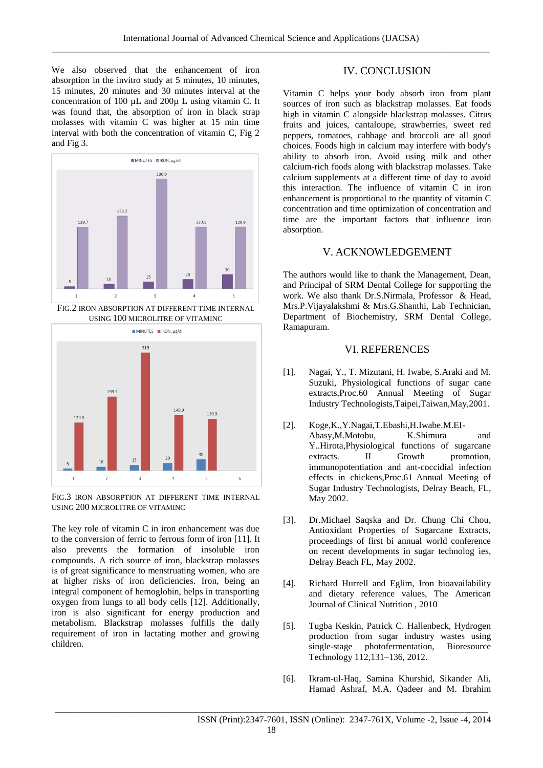We also observed that the enhancement of iron absorption in the invitro study at 5 minutes, 10 minutes, 15 minutes, 20 minutes and 30 minutes interval at the concentration of 100 µL and 200µ L using vitamin C. It was found that, the absorption of iron in black strap molasses with vitamin C was higher at 15 min time interval with both the concentration of vitamin C, Fig 2 and Fig 3.



FIG.2 IRON ABSORPTION AT DIFFERENT TIME INTERNAL USING 100 MICROLITRE OF VITAMINC



FIG.3 IRON ABSORPTION AT DIFFERENT TIME INTERNAL USING 200 MICROLITRE OF VITAMINC

The key role of vitamin C in iron enhancement was due to the conversion of ferric to ferrous form of iron [11]. It also prevents the formation of insoluble iron compounds. A rich source of iron, blackstrap molasses is of great significance to menstruating women, who are at higher risks of iron deficiencies. Iron, being an integral component of hemoglobin, helps in transporting oxygen from lungs to all body cells [12]. Additionally, iron is also significant for energy production and metabolism. Blackstrap molasses fulfills the daily requirement of iron in lactating mother and growing children.

## IV. CONCLUSION

Vitamin C helps your body absorb iron from plant sources of iron such as blackstrap molasses. Eat foods high in vitamin C alongside blackstrap molasses. Citrus fruits and juices, cantaloupe, strawberries, sweet red peppers, tomatoes, cabbage and broccoli are all good choices. Foods high in calcium may interfere with body's ability to absorb iron. Avoid using milk and other calcium-rich foods along with blackstrap molasses. Take calcium supplements at a different time of day to avoid this interaction. The influence of vitamin C in iron enhancement is proportional to the quantity of vitamin C concentration and time optimization of concentration and time are the important factors that influence iron absorption.

#### V. ACKNOWLEDGEMENT

The authors would like to thank the Management, Dean, and Principal of SRM Dental College for supporting the work. We also thank Dr.S.Nirmala, Professor & Head, Mrs.P.Vijayalakshmi & Mrs.G.Shanthi, Lab Technician, Department of Biochemistry, SRM Dental College, Ramapuram.

#### VI. REFERENCES

- [1]. Nagai, Y., T. Mizutani, H. Iwabe, S.Araki and M. Suzuki, Physiological functions of sugar cane extracts,Proc.60 Annual Meeting of Sugar Industry Technologists,Taipei,Taiwan,May,2001.
- [2]. Koge,K.,Y.Nagai,T.Ebashi,H.Iwabe.M.EI-Abasy,M.Motobu, K.Shimura and Y..Hirota,Physiological functions of sugarcane extracts. II Growth promotion, immunopotentiation and ant-coccidial infection effects in chickens,Proc.61 Annual Meeting of Sugar Industry Technologists, Delray Beach, FL, May 2002.
- [3]. Dr.Michael Saqska and Dr. Chung Chi Chou, Antioxidant Properties of Sugarcane Extracts, proceedings of first bi annual world conference on recent developments in sugar technolog ies, Delray Beach FL, May 2002.
- [4]. Richard Hurrell and Eglim, Iron bioavailability and dietary reference values, The American Journal of Clinical Nutrition , 2010
- [5]. Tugba Keskin, Patrick C. Hallenbeck, Hydrogen production from sugar industry wastes using single-stage photofermentation, Bioresource Technology 112,131–136, 2012.
- [6]. Ikram-ul-Haq, Samina Khurshid, Sikander Ali, Hamad Ashraf, M.A. Qadeer and M. Ibrahim